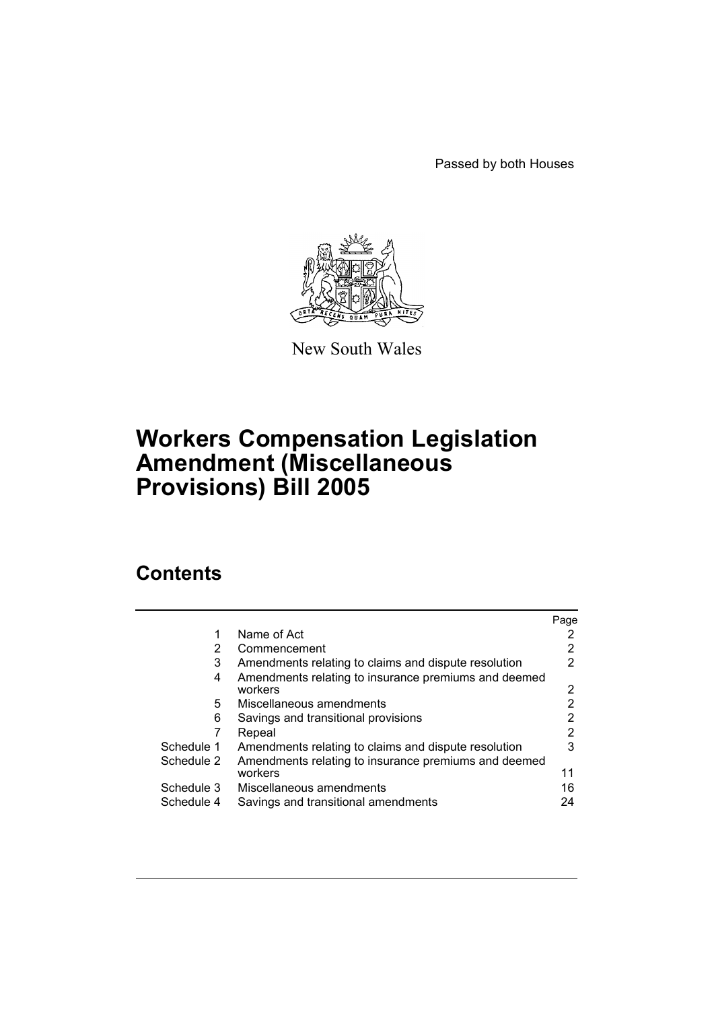Passed by both Houses



New South Wales

# **Workers Compensation Legislation Amendment (Miscellaneous Provisions) Bill 2005**

# **Contents**

|            |                                                      | Page |
|------------|------------------------------------------------------|------|
|            | Name of Act                                          |      |
| 2          | Commencement                                         | 2    |
| 3          | Amendments relating to claims and dispute resolution | 2    |
| 4          | Amendments relating to insurance premiums and deemed |      |
|            | workers                                              | 2    |
| 5.         | Miscellaneous amendments                             | 2    |
| 6          | Savings and transitional provisions                  | 2    |
|            | Repeal                                               | 2    |
| Schedule 1 | Amendments relating to claims and dispute resolution | 3    |
| Schedule 2 | Amendments relating to insurance premiums and deemed |      |
|            | workers                                              | 11   |
| Schedule 3 | Miscellaneous amendments                             | 16   |
| Schedule 4 | Savings and transitional amendments                  | 24   |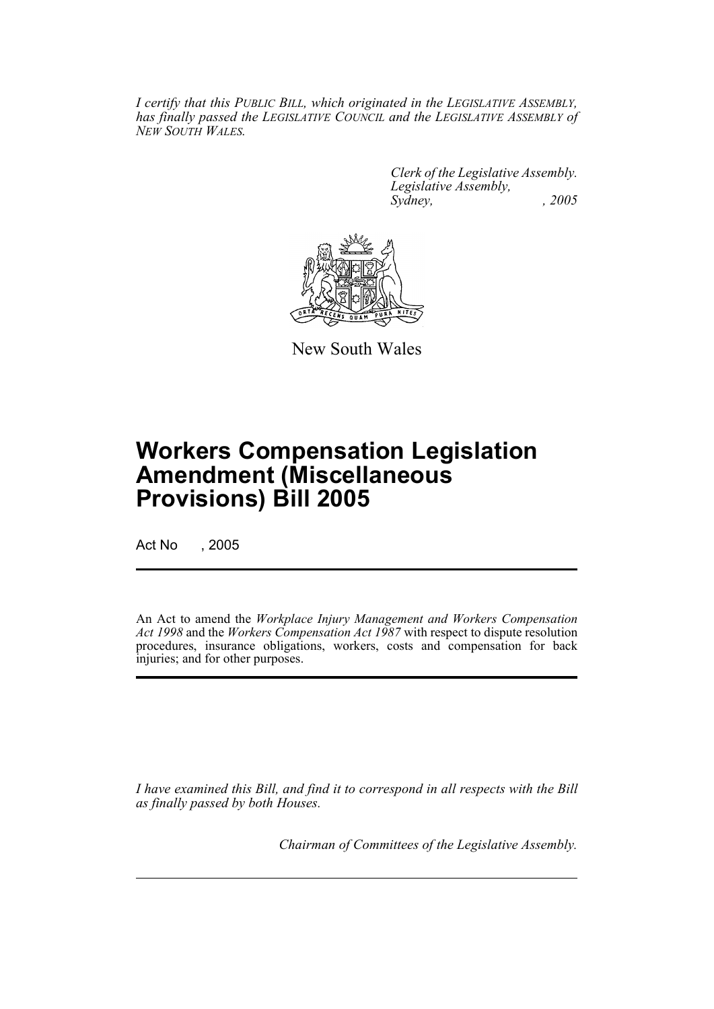*I certify that this PUBLIC BILL, which originated in the LEGISLATIVE ASSEMBLY, has finally passed the LEGISLATIVE COUNCIL and the LEGISLATIVE ASSEMBLY of NEW SOUTH WALES.*

> *Clerk of the Legislative Assembly. Legislative Assembly, Sydney, , 2005*



New South Wales

# **Workers Compensation Legislation Amendment (Miscellaneous Provisions) Bill 2005**

Act No , 2005

An Act to amend the *Workplace Injury Management and Workers Compensation Act 1998* and the *Workers Compensation Act 1987* with respect to dispute resolution procedures, insurance obligations, workers, costs and compensation for back injuries; and for other purposes.

*I have examined this Bill, and find it to correspond in all respects with the Bill as finally passed by both Houses.*

*Chairman of Committees of the Legislative Assembly.*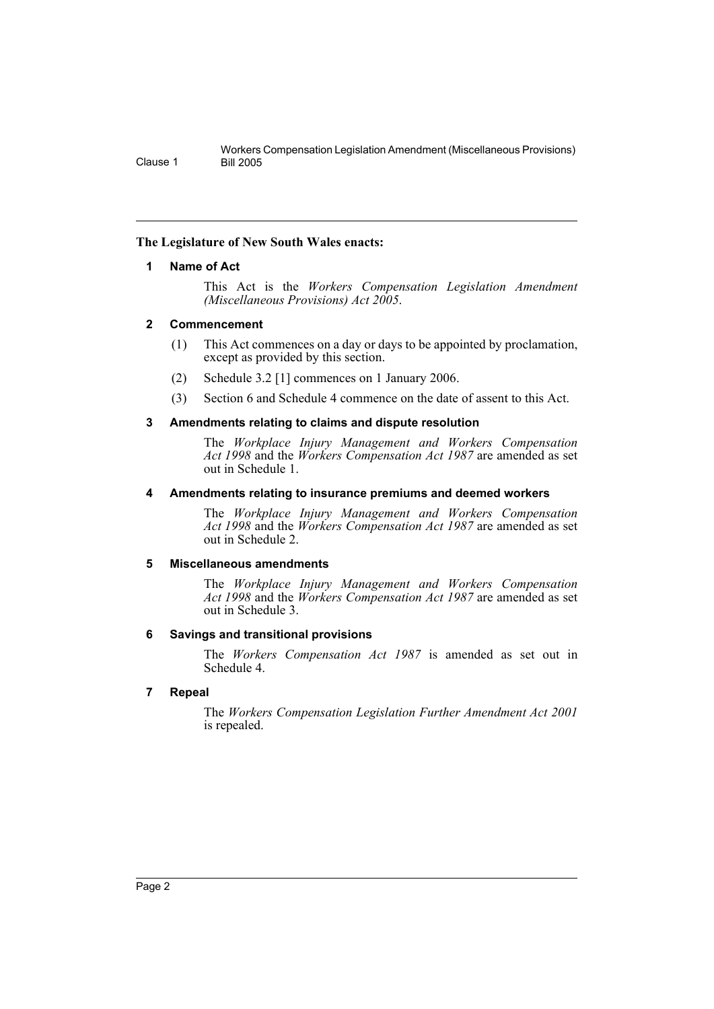# <span id="page-2-0"></span>**The Legislature of New South Wales enacts:**

## **1 Name of Act**

This Act is the *Workers Compensation Legislation Amendment (Miscellaneous Provisions) Act 2005*.

## <span id="page-2-1"></span>**2 Commencement**

- (1) This Act commences on a day or days to be appointed by proclamation, except as provided by this section.
- (2) Schedule 3.2 [1] commences on 1 January 2006.
- (3) Section 6 and Schedule 4 commence on the date of assent to this Act.

# <span id="page-2-2"></span>**3 Amendments relating to claims and dispute resolution**

The *Workplace Injury Management and Workers Compensation Act 1998* and the *Workers Compensation Act 1987* are amended as set out in Schedule 1.

## <span id="page-2-3"></span>**4 Amendments relating to insurance premiums and deemed workers**

The *Workplace Injury Management and Workers Compensation Act 1998* and the *Workers Compensation Act 1987* are amended as set out in Schedule 2.

# <span id="page-2-4"></span>**5 Miscellaneous amendments**

The *Workplace Injury Management and Workers Compensation Act 1998* and the *Workers Compensation Act 1987* are amended as set out in Schedule 3.

# <span id="page-2-5"></span>**6 Savings and transitional provisions**

The *Workers Compensation Act 1987* is amended as set out in Schedule 4.

# <span id="page-2-6"></span>**7 Repeal**

The *Workers Compensation Legislation Further Amendment Act 2001* is repealed.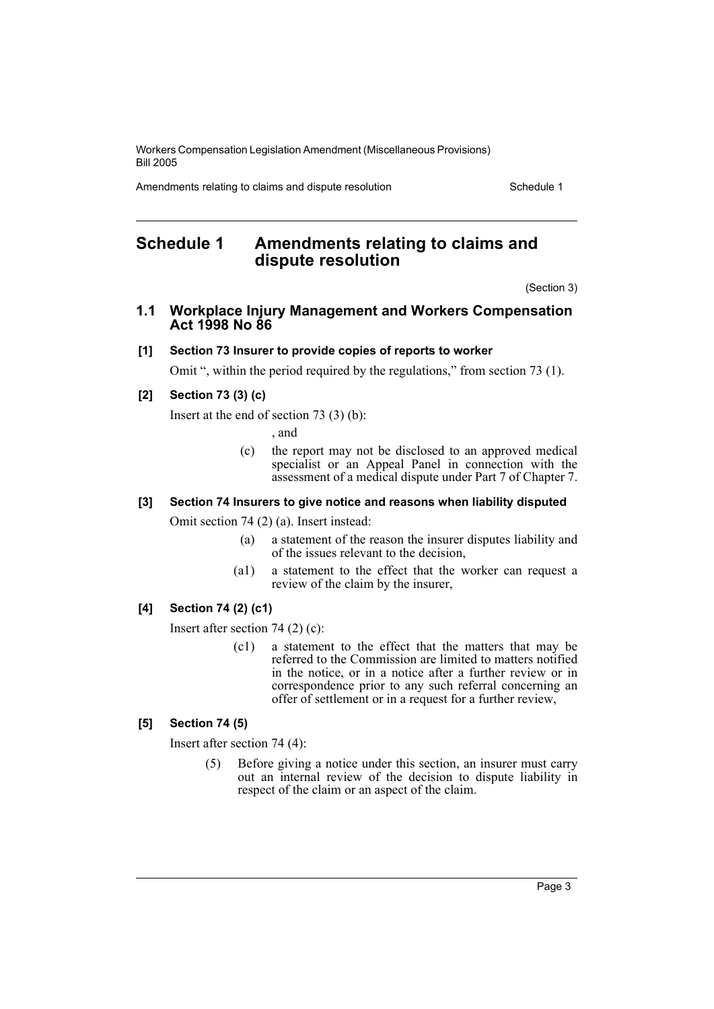Amendments relating to claims and dispute resolution Schedule 1

# <span id="page-3-0"></span>**Schedule 1 Amendments relating to claims and dispute resolution**

(Section 3)

# **1.1 Workplace Injury Management and Workers Compensation Act 1998 No 86**

# **[1] Section 73 Insurer to provide copies of reports to worker**

Omit ", within the period required by the regulations," from section 73 (1).

# **[2] Section 73 (3) (c)**

Insert at the end of section 73 (3) (b):

, and

(c) the report may not be disclosed to an approved medical specialist or an Appeal Panel in connection with the assessment of a medical dispute under Part 7 of Chapter 7.

# **[3] Section 74 Insurers to give notice and reasons when liability disputed**

Omit section 74 (2) (a). Insert instead:

- (a) a statement of the reason the insurer disputes liability and of the issues relevant to the decision,
- (a1) a statement to the effect that the worker can request a review of the claim by the insurer,

# **[4] Section 74 (2) (c1)**

Insert after section 74 (2) (c):

(c1) a statement to the effect that the matters that may be referred to the Commission are limited to matters notified in the notice, or in a notice after a further review or in correspondence prior to any such referral concerning an offer of settlement or in a request for a further review,

# **[5] Section 74 (5)**

Insert after section 74 (4):

(5) Before giving a notice under this section, an insurer must carry out an internal review of the decision to dispute liability in respect of the claim or an aspect of the claim.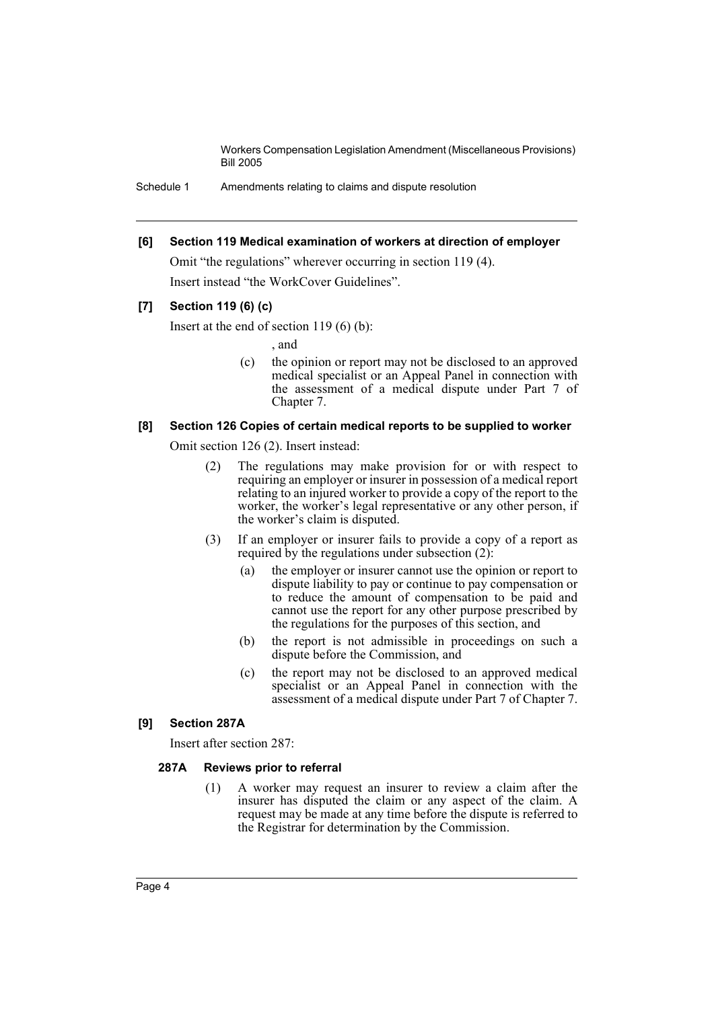Schedule 1 Amendments relating to claims and dispute resolution

#### **[6] Section 119 Medical examination of workers at direction of employer**

Omit "the regulations" wherever occurring in section 119 (4). Insert instead "the WorkCover Guidelines".

# **[7] Section 119 (6) (c)**

Insert at the end of section  $119(6)$  (b):

, and

(c) the opinion or report may not be disclosed to an approved medical specialist or an Appeal Panel in connection with the assessment of a medical dispute under Part 7 of Chapter 7.

## **[8] Section 126 Copies of certain medical reports to be supplied to worker**

Omit section 126 (2). Insert instead:

- (2) The regulations may make provision for or with respect to requiring an employer or insurer in possession of a medical report relating to an injured worker to provide a copy of the report to the worker, the worker's legal representative or any other person, if the worker's claim is disputed.
- (3) If an employer or insurer fails to provide a copy of a report as required by the regulations under subsection  $(2)$ :
	- (a) the employer or insurer cannot use the opinion or report to dispute liability to pay or continue to pay compensation or to reduce the amount of compensation to be paid and cannot use the report for any other purpose prescribed by the regulations for the purposes of this section, and
	- (b) the report is not admissible in proceedings on such a dispute before the Commission, and
	- (c) the report may not be disclosed to an approved medical specialist or an Appeal Panel in connection with the assessment of a medical dispute under Part 7 of Chapter 7.

# **[9] Section 287A**

Insert after section 287:

# **287A Reviews prior to referral**

(1) A worker may request an insurer to review a claim after the insurer has disputed the claim or any aspect of the claim. A request may be made at any time before the dispute is referred to the Registrar for determination by the Commission.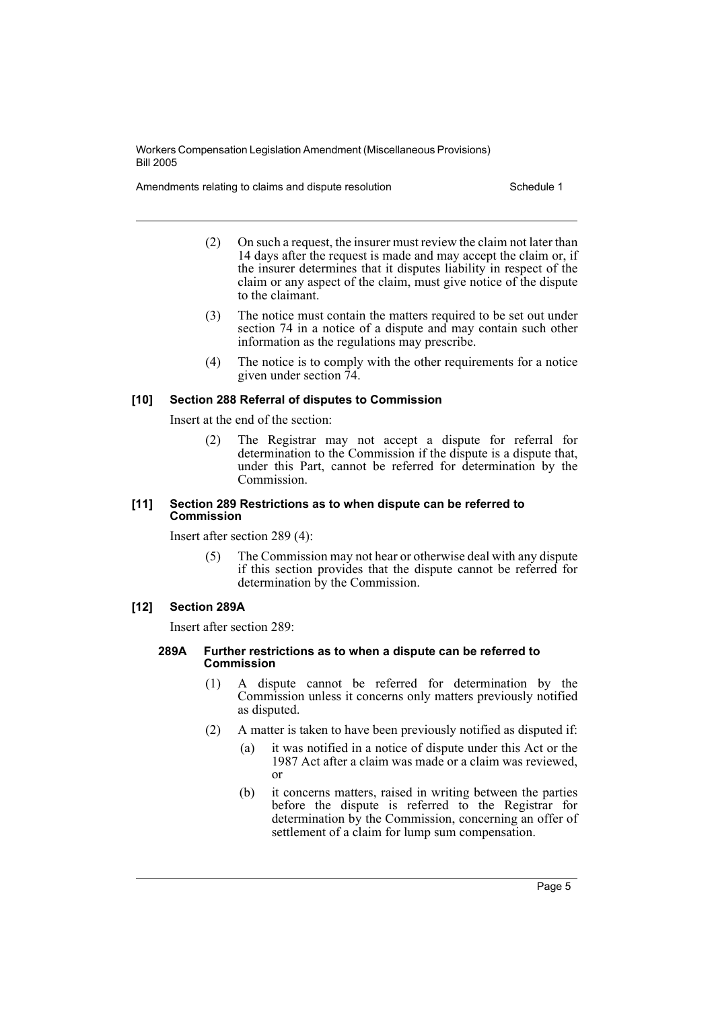Amendments relating to claims and dispute resolution Schedule 1

- (2) On such a request, the insurer must review the claim not later than 14 days after the request is made and may accept the claim or, if the insurer determines that it disputes liability in respect of the claim or any aspect of the claim, must give notice of the dispute to the claimant.
- (3) The notice must contain the matters required to be set out under section 74 in a notice of a dispute and may contain such other information as the regulations may prescribe.
- (4) The notice is to comply with the other requirements for a notice given under section 74.

# **[10] Section 288 Referral of disputes to Commission**

Insert at the end of the section:

(2) The Registrar may not accept a dispute for referral for determination to the Commission if the dispute is a dispute that, under this Part, cannot be referred for determination by the Commission.

#### **[11] Section 289 Restrictions as to when dispute can be referred to Commission**

Insert after section 289 (4):

(5) The Commission may not hear or otherwise deal with any dispute if this section provides that the dispute cannot be referred for determination by the Commission.

# **[12] Section 289A**

Insert after section 289:

#### **289A Further restrictions as to when a dispute can be referred to Commission**

- (1) A dispute cannot be referred for determination by the Commission unless it concerns only matters previously notified as disputed.
- (2) A matter is taken to have been previously notified as disputed if:
	- (a) it was notified in a notice of dispute under this Act or the 1987 Act after a claim was made or a claim was reviewed, or
	- (b) it concerns matters, raised in writing between the parties before the dispute is referred to the Registrar for determination by the Commission, concerning an offer of settlement of a claim for lump sum compensation.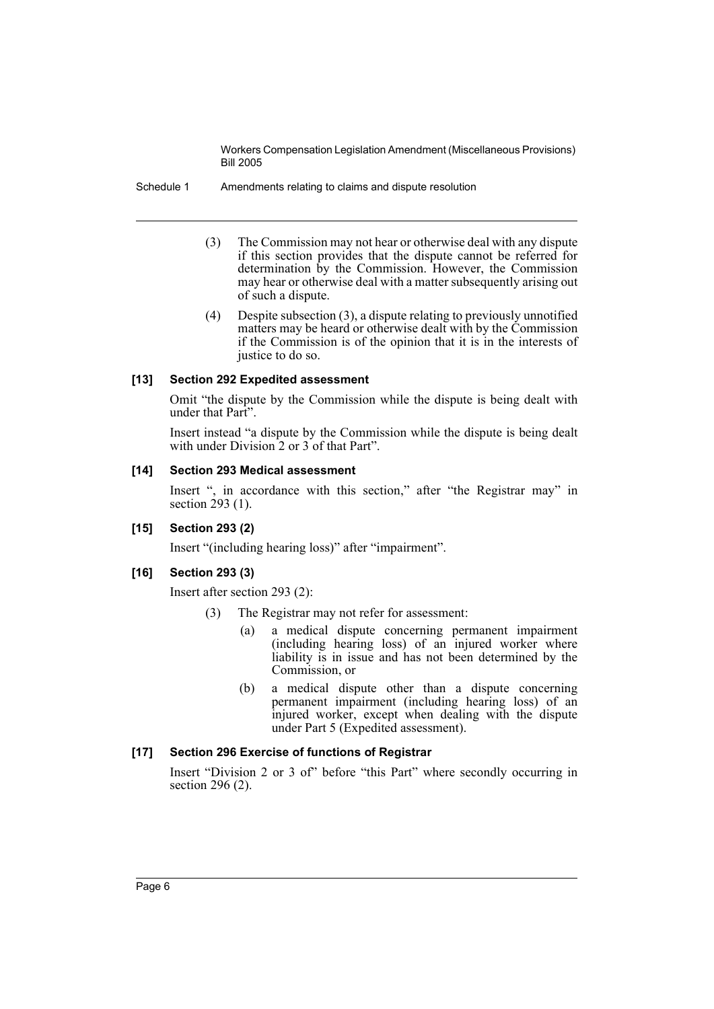Schedule 1 Amendments relating to claims and dispute resolution

- (3) The Commission may not hear or otherwise deal with any dispute if this section provides that the dispute cannot be referred for determination by the Commission. However, the Commission may hear or otherwise deal with a matter subsequently arising out of such a dispute.
- (4) Despite subsection (3), a dispute relating to previously unnotified matters may be heard or otherwise dealt with by the Commission if the Commission is of the opinion that it is in the interests of justice to do so.

## **[13] Section 292 Expedited assessment**

Omit "the dispute by the Commission while the dispute is being dealt with under that Part".

Insert instead "a dispute by the Commission while the dispute is being dealt with under Division 2 or 3 of that Part".

## **[14] Section 293 Medical assessment**

Insert ", in accordance with this section," after "the Registrar may" in section 293 (1).

# **[15] Section 293 (2)**

Insert "(including hearing loss)" after "impairment".

# **[16] Section 293 (3)**

Insert after section 293 (2):

- (3) The Registrar may not refer for assessment:
	- (a) a medical dispute concerning permanent impairment (including hearing loss) of an injured worker where liability is in issue and has not been determined by the Commission, or
	- (b) a medical dispute other than a dispute concerning permanent impairment (including hearing loss) of an injured worker, except when dealing with the dispute under Part 5 (Expedited assessment).

# **[17] Section 296 Exercise of functions of Registrar**

Insert "Division 2 or 3 of" before "this Part" where secondly occurring in section 296 (2).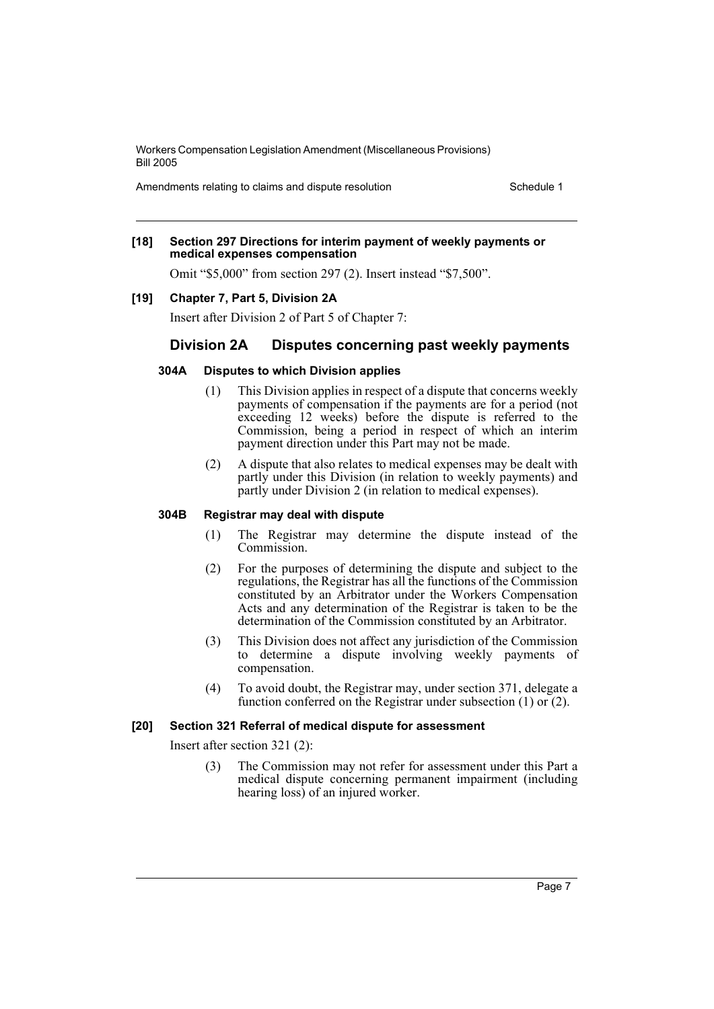Amendments relating to claims and dispute resolution Schedule 1

#### **[18] Section 297 Directions for interim payment of weekly payments or medical expenses compensation**

Omit "\$5,000" from section 297 (2). Insert instead "\$7,500".

# **[19] Chapter 7, Part 5, Division 2A**

Insert after Division 2 of Part 5 of Chapter 7:

# **Division 2A Disputes concerning past weekly payments**

## **304A Disputes to which Division applies**

- (1) This Division applies in respect of a dispute that concerns weekly payments of compensation if the payments are for a period (not exceeding 12 weeks) before the dispute is referred to the Commission, being a period in respect of which an interim payment direction under this Part may not be made.
- (2) A dispute that also relates to medical expenses may be dealt with partly under this Division (in relation to weekly payments) and partly under Division 2 (in relation to medical expenses).

#### **304B Registrar may deal with dispute**

- (1) The Registrar may determine the dispute instead of the Commission.
- (2) For the purposes of determining the dispute and subject to the regulations, the Registrar has all the functions of the Commission constituted by an Arbitrator under the Workers Compensation Acts and any determination of the Registrar is taken to be the determination of the Commission constituted by an Arbitrator.
- (3) This Division does not affect any jurisdiction of the Commission to determine a dispute involving weekly payments of compensation.
- (4) To avoid doubt, the Registrar may, under section 371, delegate a function conferred on the Registrar under subsection  $(1)$  or  $(2)$ .

# **[20] Section 321 Referral of medical dispute for assessment**

Insert after section 321 (2):

(3) The Commission may not refer for assessment under this Part a medical dispute concerning permanent impairment (including hearing loss) of an injured worker.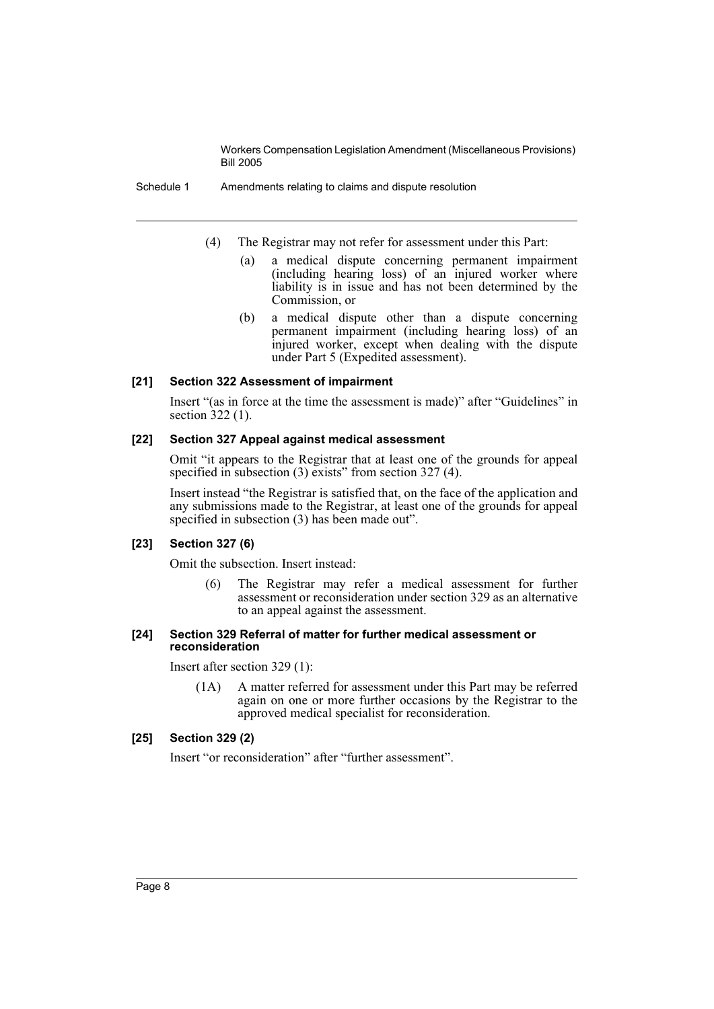Schedule 1 Amendments relating to claims and dispute resolution

- (4) The Registrar may not refer for assessment under this Part:
	- (a) a medical dispute concerning permanent impairment (including hearing loss) of an injured worker where liability is in issue and has not been determined by the Commission, or
	- (b) a medical dispute other than a dispute concerning permanent impairment (including hearing loss) of an injured worker, except when dealing with the dispute under Part 5 (Expedited assessment).

## **[21] Section 322 Assessment of impairment**

Insert "(as in force at the time the assessment is made)" after "Guidelines" in section 322 (1).

## **[22] Section 327 Appeal against medical assessment**

Omit "it appears to the Registrar that at least one of the grounds for appeal specified in subsection (3) exists" from section 327 (4).

Insert instead "the Registrar is satisfied that, on the face of the application and any submissions made to the Registrar, at least one of the grounds for appeal specified in subsection (3) has been made out".

# **[23] Section 327 (6)**

Omit the subsection. Insert instead:

(6) The Registrar may refer a medical assessment for further assessment or reconsideration under section 329 as an alternative to an appeal against the assessment.

#### **[24] Section 329 Referral of matter for further medical assessment or reconsideration**

Insert after section 329 (1):

(1A) A matter referred for assessment under this Part may be referred again on one or more further occasions by the Registrar to the approved medical specialist for reconsideration.

# **[25] Section 329 (2)**

Insert "or reconsideration" after "further assessment".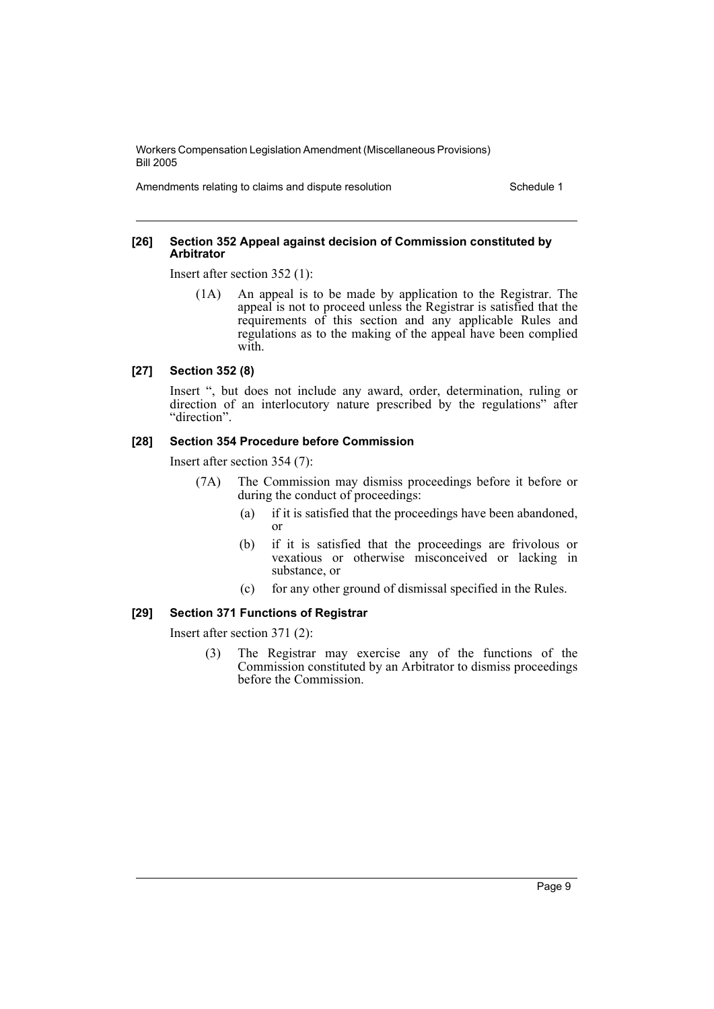Amendments relating to claims and dispute resolution Schedule 1

#### **[26] Section 352 Appeal against decision of Commission constituted by Arbitrator**

Insert after section 352 (1):

(1A) An appeal is to be made by application to the Registrar. The appeal is not to proceed unless the Registrar is satisfied that the requirements of this section and any applicable Rules and regulations as to the making of the appeal have been complied with.

#### **[27] Section 352 (8)**

Insert ", but does not include any award, order, determination, ruling or direction of an interlocutory nature prescribed by the regulations" after "direction".

# **[28] Section 354 Procedure before Commission**

Insert after section 354 (7):

- (7A) The Commission may dismiss proceedings before it before or during the conduct of proceedings:
	- (a) if it is satisfied that the proceedings have been abandoned, or
	- (b) if it is satisfied that the proceedings are frivolous or vexatious or otherwise misconceived or lacking in substance, or
	- (c) for any other ground of dismissal specified in the Rules.

## **[29] Section 371 Functions of Registrar**

Insert after section 371 (2):

(3) The Registrar may exercise any of the functions of the Commission constituted by an Arbitrator to dismiss proceedings before the Commission.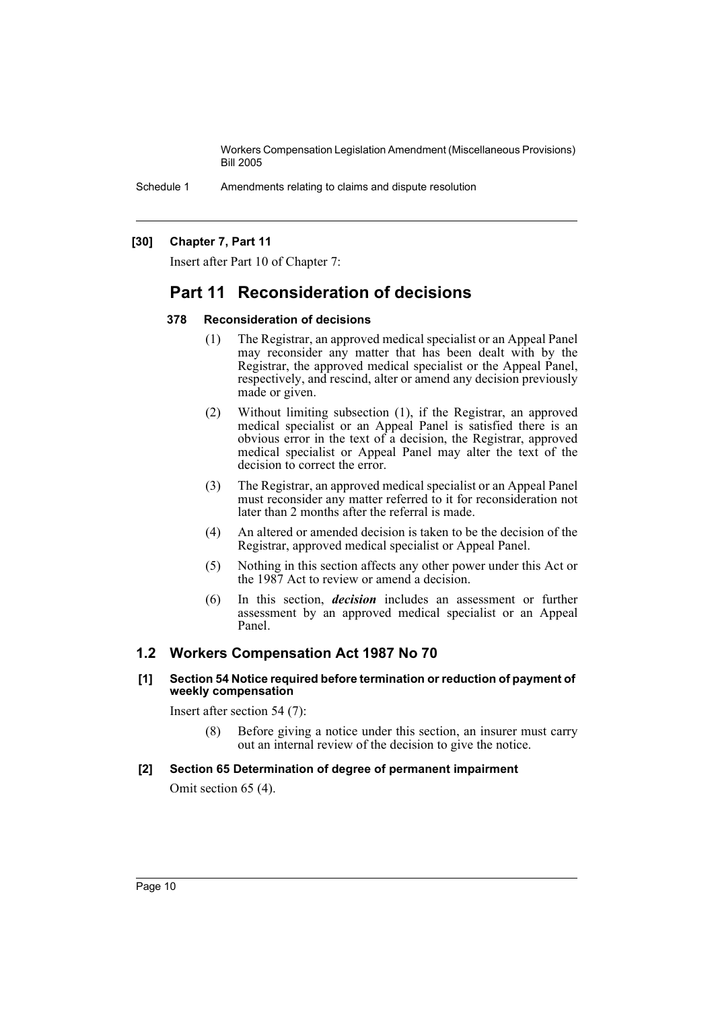Schedule 1 Amendments relating to claims and dispute resolution

# **[30] Chapter 7, Part 11**

Insert after Part 10 of Chapter 7:

# **Part 11 Reconsideration of decisions**

## **378 Reconsideration of decisions**

- (1) The Registrar, an approved medical specialist or an Appeal Panel may reconsider any matter that has been dealt with by the Registrar, the approved medical specialist or the Appeal Panel, respectively, and rescind, alter or amend any decision previously made or given.
- (2) Without limiting subsection (1), if the Registrar, an approved medical specialist or an Appeal Panel is satisfied there is an obvious error in the text of  $\hat{a}$  decision, the Registrar, approved medical specialist or Appeal Panel may alter the text of the decision to correct the error.
- (3) The Registrar, an approved medical specialist or an Appeal Panel must reconsider any matter referred to it for reconsideration not later than 2 months after the referral is made.
- (4) An altered or amended decision is taken to be the decision of the Registrar, approved medical specialist or Appeal Panel.
- (5) Nothing in this section affects any other power under this Act or the 1987 Act to review or amend a decision.
- (6) In this section, *decision* includes an assessment or further assessment by an approved medical specialist or an Appeal Panel.

# **1.2 Workers Compensation Act 1987 No 70**

## **[1] Section 54 Notice required before termination or reduction of payment of weekly compensation**

Insert after section 54 (7):

(8) Before giving a notice under this section, an insurer must carry out an internal review of the decision to give the notice.

# **[2] Section 65 Determination of degree of permanent impairment**

Omit section 65 (4).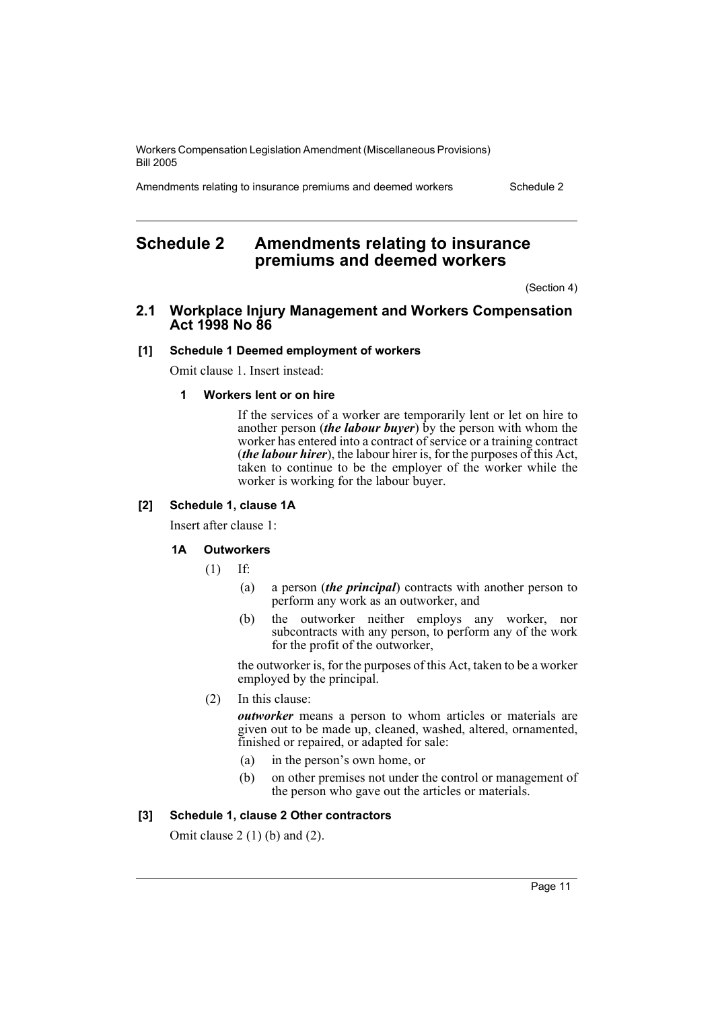Amendments relating to insurance premiums and deemed workers Schedule 2

# <span id="page-11-0"></span>**Schedule 2 Amendments relating to insurance premiums and deemed workers**

(Section 4)

# **2.1 Workplace Injury Management and Workers Compensation Act 1998 No 86**

#### **[1] Schedule 1 Deemed employment of workers**

Omit clause 1. Insert instead:

## **1 Workers lent or on hire**

If the services of a worker are temporarily lent or let on hire to another person *(the labour buyer)* by the person with whom the worker has entered into a contract of service or a training contract (*the labour hirer*), the labour hirer is, for the purposes of this Act, taken to continue to be the employer of the worker while the worker is working for the labour buyer.

# **[2] Schedule 1, clause 1A**

Insert after clause 1:

#### **1A Outworkers**

(1) If:

- (a) a person (*the principal*) contracts with another person to perform any work as an outworker, and
- (b) the outworker neither employs any worker, nor subcontracts with any person, to perform any of the work for the profit of the outworker,

the outworker is, for the purposes of this Act, taken to be a worker employed by the principal.

(2) In this clause:

*outworker* means a person to whom articles or materials are given out to be made up, cleaned, washed, altered, ornamented, finished or repaired, or adapted for sale:

- (a) in the person's own home, or
- (b) on other premises not under the control or management of the person who gave out the articles or materials.

# **[3] Schedule 1, clause 2 Other contractors**

Omit clause  $2(1)$  (b) and  $(2)$ .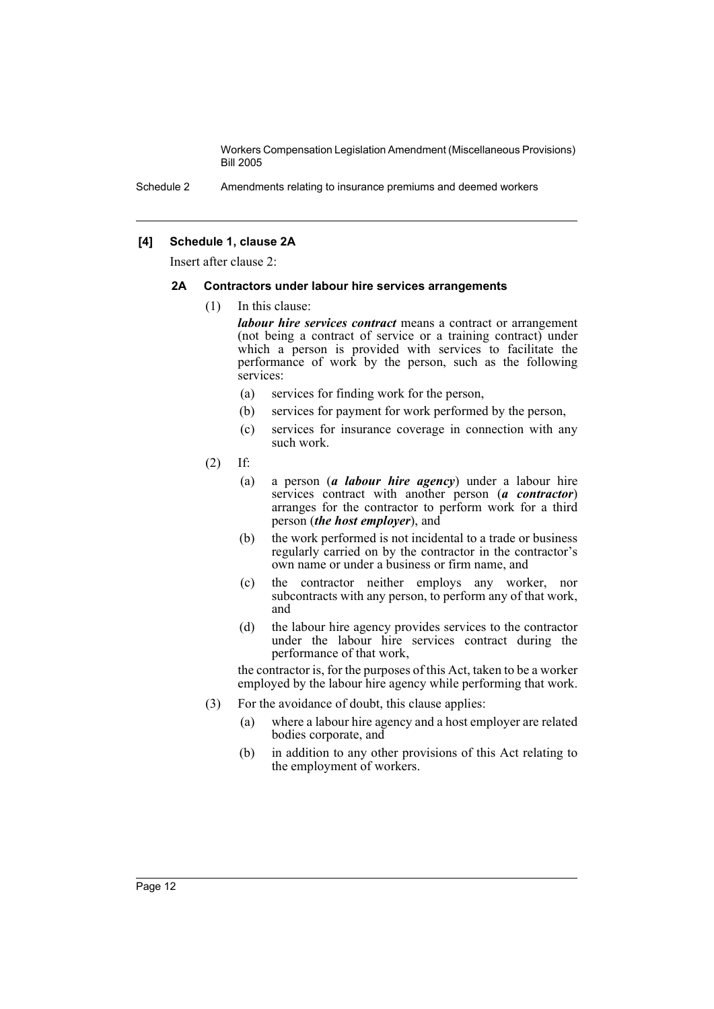Schedule 2 Amendments relating to insurance premiums and deemed workers

# **[4] Schedule 1, clause 2A**

Insert after clause 2:

#### **2A Contractors under labour hire services arrangements**

(1) In this clause:

*labour hire services contract* means a contract or arrangement (not being a contract of service or a training contract) under which a person is provided with services to facilitate the performance of work by the person, such as the following services:

- (a) services for finding work for the person,
- (b) services for payment for work performed by the person,
- (c) services for insurance coverage in connection with any such work.
- (2) If:
	- (a) a person (*a labour hire agency*) under a labour hire services contract with another person (*a contractor*) arranges for the contractor to perform work for a third person (*the host employer*), and
	- (b) the work performed is not incidental to a trade or business regularly carried on by the contractor in the contractor's own name or under a business or firm name, and
	- (c) the contractor neither employs any worker, nor subcontracts with any person, to perform any of that work, and
	- (d) the labour hire agency provides services to the contractor under the labour hire services contract during the performance of that work,

the contractor is, for the purposes of this Act, taken to be a worker employed by the labour hire agency while performing that work.

- (3) For the avoidance of doubt, this clause applies:
	- (a) where a labour hire agency and a host employer are related bodies corporate, and
	- (b) in addition to any other provisions of this Act relating to the employment of workers.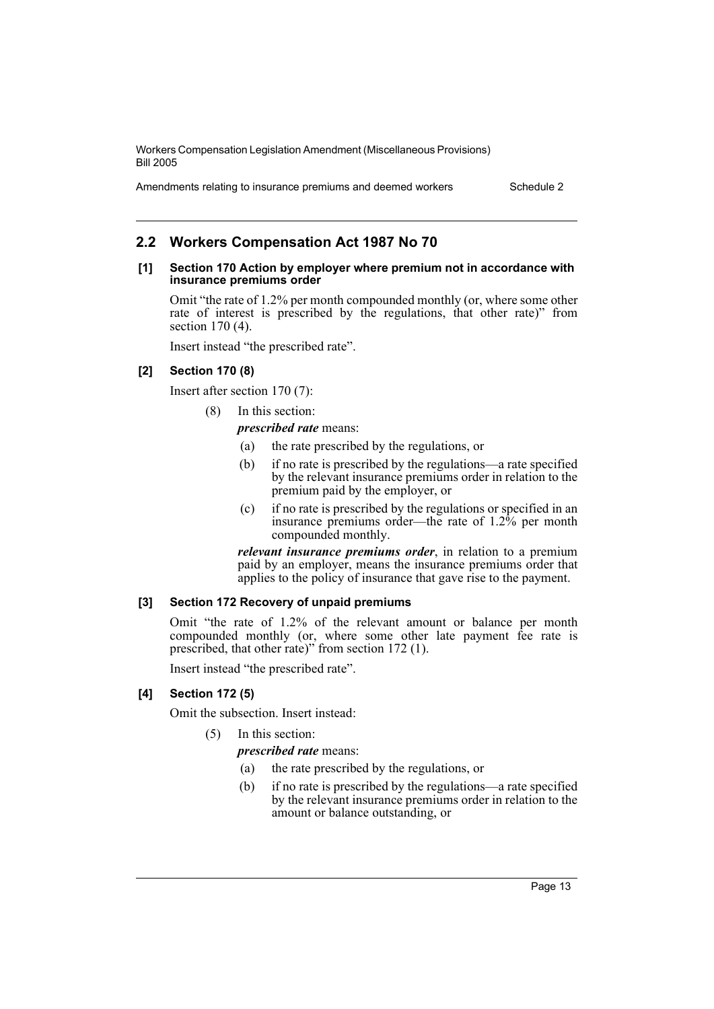Amendments relating to insurance premiums and deemed workers Schedule 2

# **2.2 Workers Compensation Act 1987 No 70**

#### **[1] Section 170 Action by employer where premium not in accordance with insurance premiums order**

Omit "the rate of 1.2% per month compounded monthly (or, where some other rate of interest is prescribed by the regulations, that other rate)" from section 170 (4).

Insert instead "the prescribed rate".

## **[2] Section 170 (8)**

Insert after section 170 (7):

(8) In this section:

*prescribed rate* means:

- (a) the rate prescribed by the regulations, or
- (b) if no rate is prescribed by the regulations—a rate specified by the relevant insurance premiums order in relation to the premium paid by the employer, or
- (c) if no rate is prescribed by the regulations or specified in an insurance premiums order—the rate of 1.2% per month compounded monthly.

*relevant insurance premiums order*, in relation to a premium paid by an employer, means the insurance premiums order that applies to the policy of insurance that gave rise to the payment.

## **[3] Section 172 Recovery of unpaid premiums**

Omit "the rate of 1.2% of the relevant amount or balance per month compounded monthly (or, where some other late payment fee rate is prescribed, that other rate)" from section 172 (1).

Insert instead "the prescribed rate".

# **[4] Section 172 (5)**

Omit the subsection. Insert instead:

(5) In this section:

*prescribed rate* means:

- (a) the rate prescribed by the regulations, or
- (b) if no rate is prescribed by the regulations—a rate specified by the relevant insurance premiums order in relation to the amount or balance outstanding, or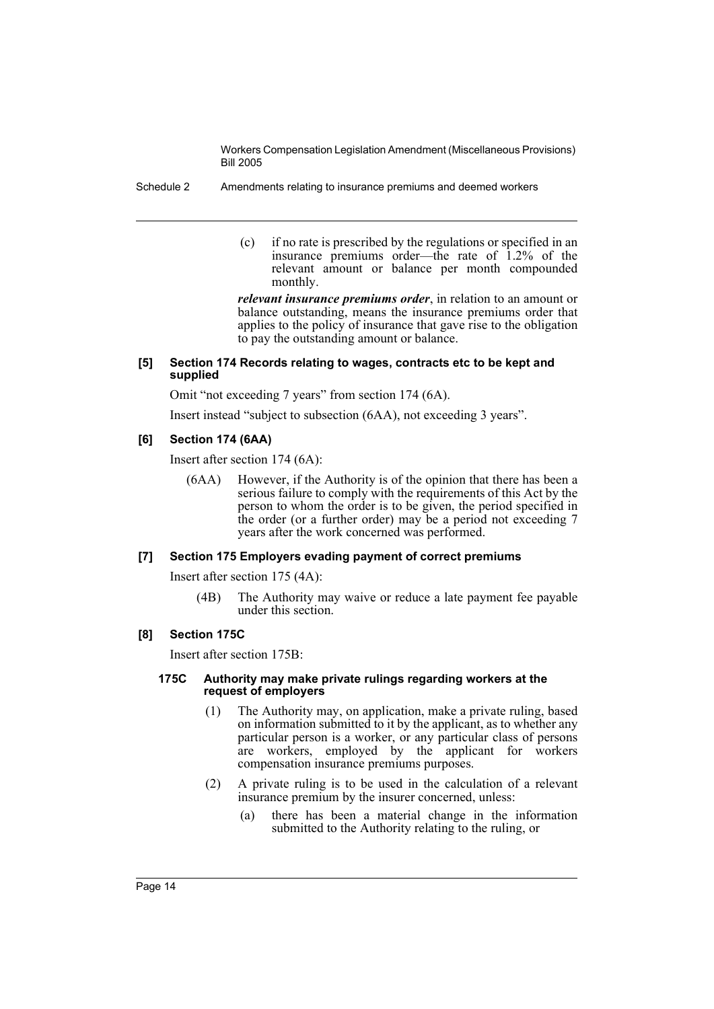- Schedule 2 Amendments relating to insurance premiums and deemed workers
	- (c) if no rate is prescribed by the regulations or specified in an insurance premiums order—the rate of 1.2% of the relevant amount or balance per month compounded monthly.

*relevant insurance premiums order*, in relation to an amount or balance outstanding, means the insurance premiums order that applies to the policy of insurance that gave rise to the obligation to pay the outstanding amount or balance.

# **[5] Section 174 Records relating to wages, contracts etc to be kept and supplied**

Omit "not exceeding 7 years" from section 174 (6A).

Insert instead "subject to subsection (6AA), not exceeding 3 years".

# **[6] Section 174 (6AA)**

Insert after section 174 (6A):

(6AA) However, if the Authority is of the opinion that there has been a serious failure to comply with the requirements of this Act by the person to whom the order is to be given, the period specified in the order (or a further order) may be a period not exceeding 7 years after the work concerned was performed.

# **[7] Section 175 Employers evading payment of correct premiums**

Insert after section 175 (4A):

(4B) The Authority may waive or reduce a late payment fee payable under this section.

# **[8] Section 175C**

Insert after section 175B:

## **175C Authority may make private rulings regarding workers at the request of employers**

- (1) The Authority may, on application, make a private ruling, based on information submitted to it by the applicant, as to whether any particular person is a worker, or any particular class of persons are workers, employed by the applicant for workers compensation insurance premiums purposes.
- (2) A private ruling is to be used in the calculation of a relevant insurance premium by the insurer concerned, unless:
	- (a) there has been a material change in the information submitted to the Authority relating to the ruling, or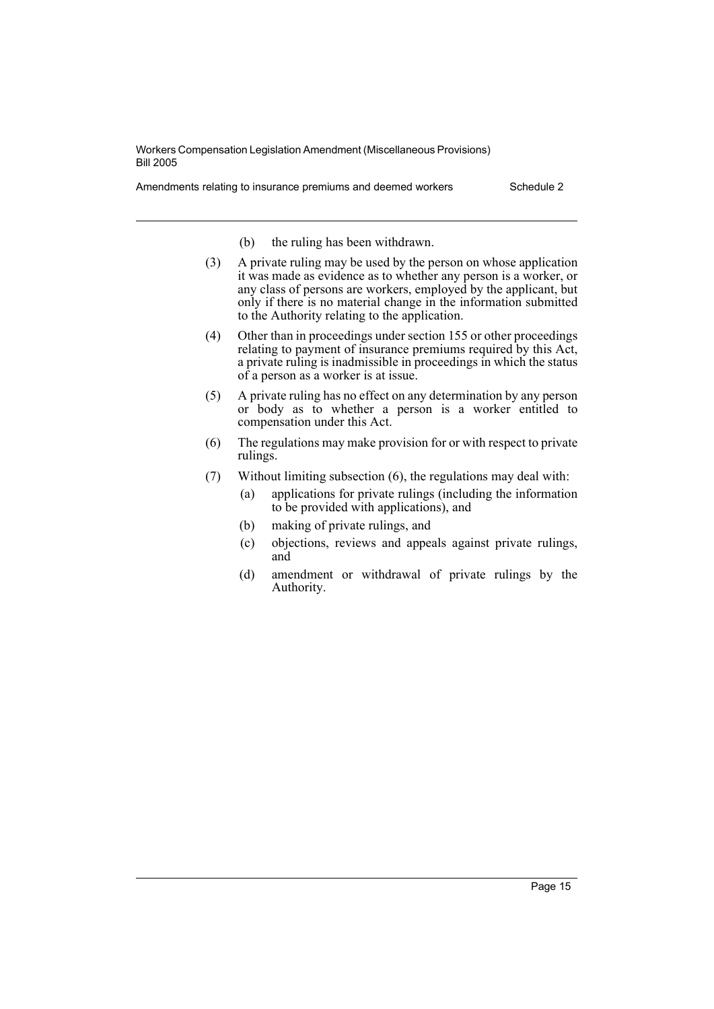Amendments relating to insurance premiums and deemed workers Schedule 2

- (b) the ruling has been withdrawn.
- (3) A private ruling may be used by the person on whose application it was made as evidence as to whether any person is a worker, or any class of persons are workers, employed by the applicant, but only if there is no material change in the information submitted to the Authority relating to the application.
- (4) Other than in proceedings under section 155 or other proceedings relating to payment of insurance premiums required by this Act, a private ruling is inadmissible in proceedings in which the status of a person as a worker is at issue.
- (5) A private ruling has no effect on any determination by any person or body as to whether a person is a worker entitled to compensation under this Act.
- (6) The regulations may make provision for or with respect to private rulings.
- (7) Without limiting subsection (6), the regulations may deal with:
	- (a) applications for private rulings (including the information to be provided with applications), and
	- (b) making of private rulings, and
	- (c) objections, reviews and appeals against private rulings, and
	- (d) amendment or withdrawal of private rulings by the Authority.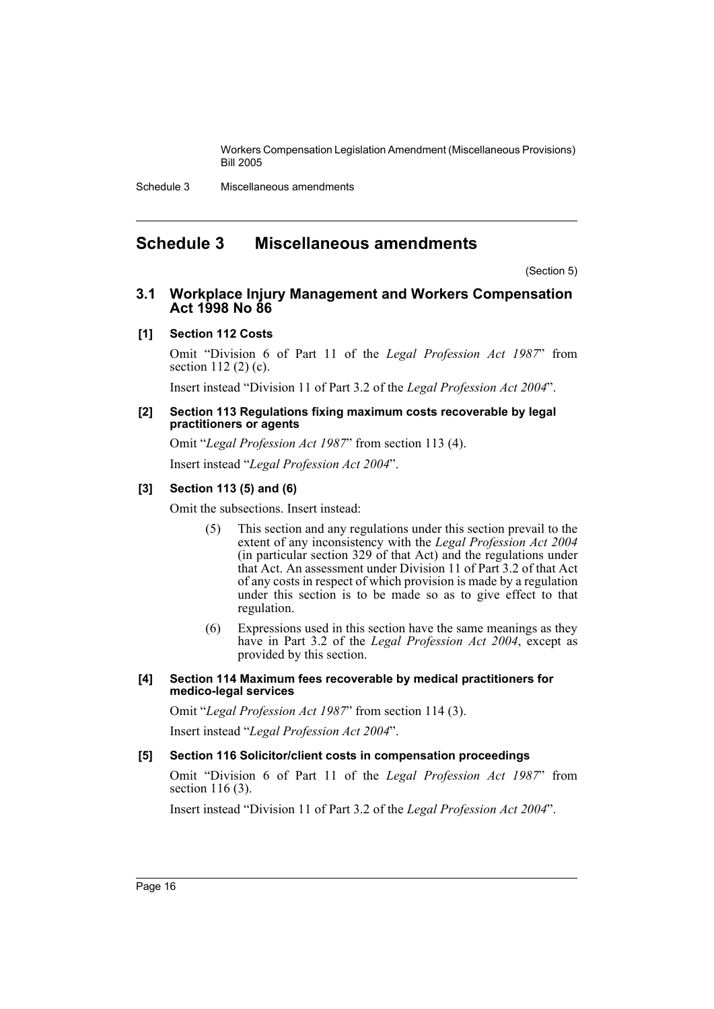Schedule 3 Miscellaneous amendments

# <span id="page-16-0"></span>**Schedule 3 Miscellaneous amendments**

(Section 5)

# **3.1 Workplace Injury Management and Workers Compensation Act 1998 No 86**

# **[1] Section 112 Costs**

Omit "Division 6 of Part 11 of the *Legal Profession Act 1987*" from section 112 (2) (c).

Insert instead "Division 11 of Part 3.2 of the *Legal Profession Act 2004*".

#### **[2] Section 113 Regulations fixing maximum costs recoverable by legal practitioners or agents**

Omit "*Legal Profession Act 1987*" from section 113 (4). Insert instead "*Legal Profession Act 2004*".

## **[3] Section 113 (5) and (6)**

Omit the subsections. Insert instead:

- (5) This section and any regulations under this section prevail to the extent of any inconsistency with the *Legal Profession Act 2004* (in particular section 329 of that Act) and the regulations under that Act. An assessment under Division 11 of Part 3.2 of that Act of any costs in respect of which provision is made by a regulation under this section is to be made so as to give effect to that regulation.
- (6) Expressions used in this section have the same meanings as they have in Part 3.2 of the *Legal Profession Act 2004*, except as provided by this section.

## **[4] Section 114 Maximum fees recoverable by medical practitioners for medico-legal services**

Omit "*Legal Profession Act 1987*" from section 114 (3).

Insert instead "*Legal Profession Act 2004*".

#### **[5] Section 116 Solicitor/client costs in compensation proceedings**

Omit "Division 6 of Part 11 of the *Legal Profession Act 1987*" from section 116 (3).

Insert instead "Division 11 of Part 3.2 of the *Legal Profession Act 2004*".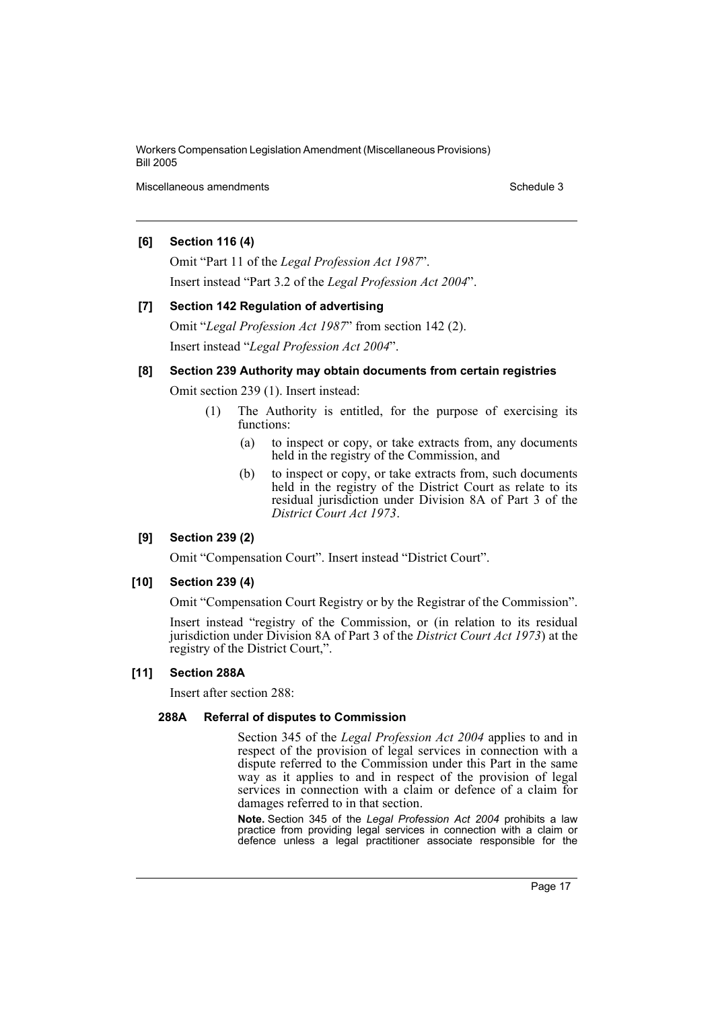Miscellaneous amendments **Schedule 3** and the schedule 3

# **[6] Section 116 (4)**

Omit "Part 11 of the *Legal Profession Act 1987*". Insert instead "Part 3.2 of the *Legal Profession Act 2004*".

**[7] Section 142 Regulation of advertising** Omit "*Legal Profession Act 1987*" from section 142 (2). Insert instead "*Legal Profession Act 2004*".

# **[8] Section 239 Authority may obtain documents from certain registries**

Omit section 239 (1). Insert instead:

- (1) The Authority is entitled, for the purpose of exercising its functions:
	- (a) to inspect or copy, or take extracts from, any documents held in the registry of the Commission, and
	- (b) to inspect or copy, or take extracts from, such documents held in the registry of the District Court as relate to its residual jurisdiction under Division 8A of Part 3 of the *District Court Act 1973*.

# **[9] Section 239 (2)**

Omit "Compensation Court". Insert instead "District Court".

#### **[10] Section 239 (4)**

Omit "Compensation Court Registry or by the Registrar of the Commission".

Insert instead "registry of the Commission, or (in relation to its residual jurisdiction under Division 8A of Part 3 of the *District Court Act 1973*) at the registry of the District Court,".

## **[11] Section 288A**

Insert after section 288:

# **288A Referral of disputes to Commission**

Section 345 of the *Legal Profession Act 2004* applies to and in respect of the provision of legal services in connection with a dispute referred to the Commission under this Part in the same way as it applies to and in respect of the provision of legal services in connection with a claim or defence of a claim for damages referred to in that section.

**Note.** Section 345 of the *Legal Profession Act 2004* prohibits a law practice from providing legal services in connection with a claim or defence unless a legal practitioner associate responsible for the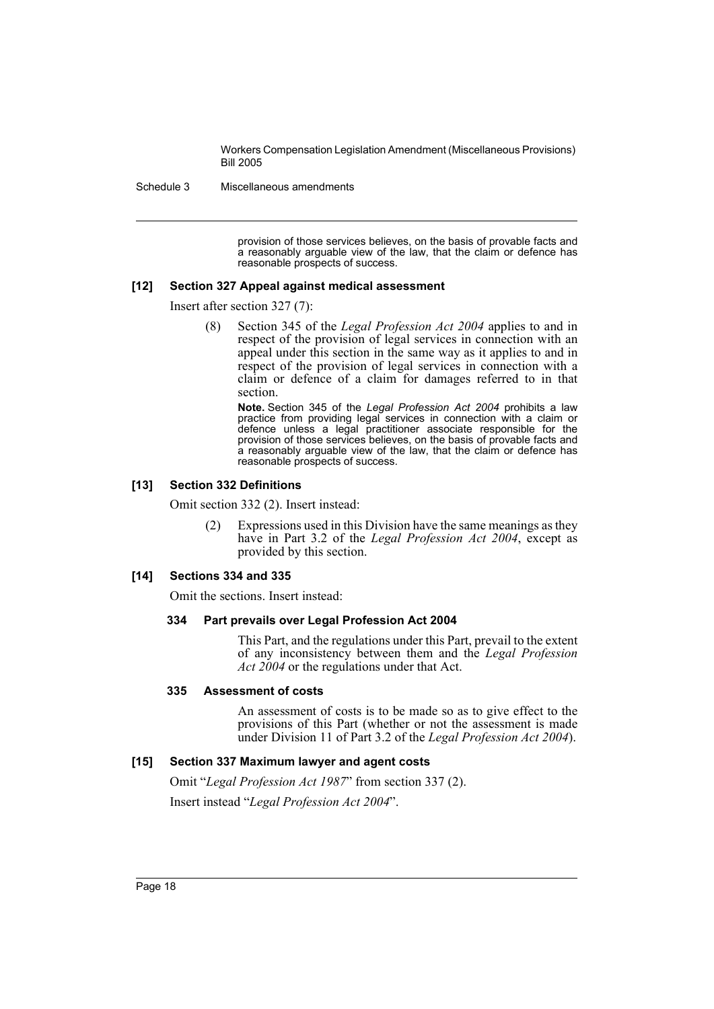Schedule 3 Miscellaneous amendments

provision of those services believes, on the basis of provable facts and a reasonably arguable view of the law, that the claim or defence has reasonable prospects of success.

#### **[12] Section 327 Appeal against medical assessment**

Insert after section 327 (7):

(8) Section 345 of the *Legal Profession Act 2004* applies to and in respect of the provision of legal services in connection with an appeal under this section in the same way as it applies to and in respect of the provision of legal services in connection with a claim or defence of a claim for damages referred to in that section.

**Note.** Section 345 of the *Legal Profession Act 2004* prohibits a law practice from providing legal services in connection with a claim or defence unless a legal practitioner associate responsible for the provision of those services believes, on the basis of provable facts and a reasonably arguable view of the law, that the claim or defence has reasonable prospects of success.

#### **[13] Section 332 Definitions**

Omit section 332 (2). Insert instead:

(2) Expressions used in this Division have the same meanings as they have in Part 3.2 of the *Legal Profession Act 2004*, except as provided by this section.

#### **[14] Sections 334 and 335**

Omit the sections. Insert instead:

#### **334 Part prevails over Legal Profession Act 2004**

This Part, and the regulations under this Part, prevail to the extent of any inconsistency between them and the *Legal Profession Act 2004* or the regulations under that Act.

#### **335 Assessment of costs**

An assessment of costs is to be made so as to give effect to the provisions of this Part (whether or not the assessment is made under Division 11 of Part 3.2 of the *Legal Profession Act 2004*).

## **[15] Section 337 Maximum lawyer and agent costs**

Omit "*Legal Profession Act 1987*" from section 337 (2). Insert instead "*Legal Profession Act 2004*".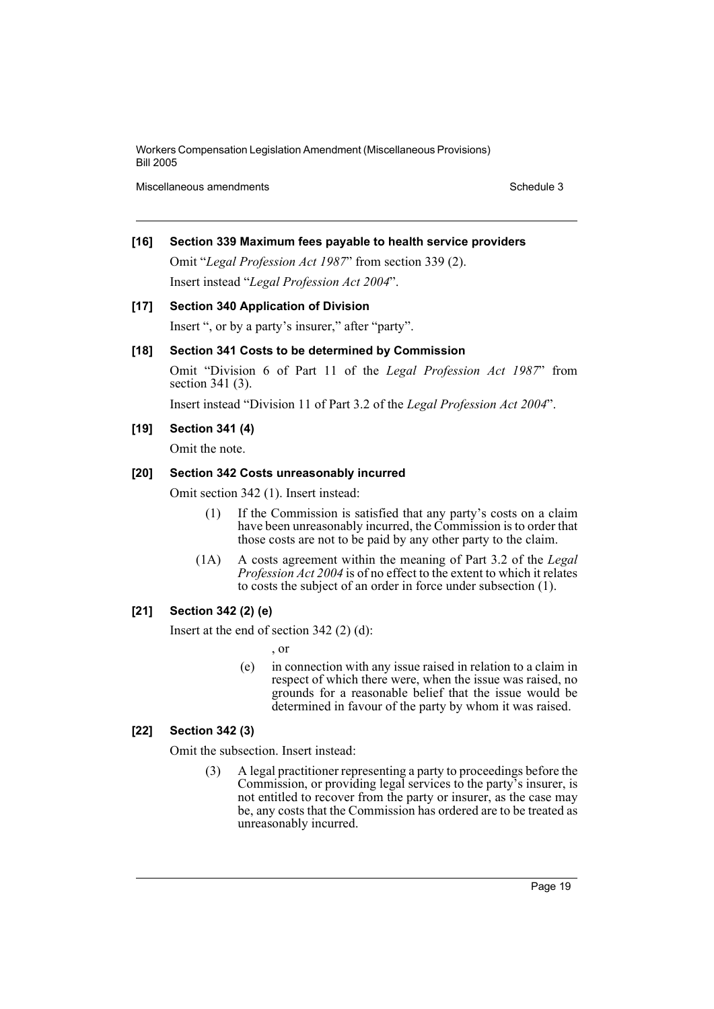Miscellaneous amendments and the state of the state of the Schedule 3 Schedule 3

# **[16] Section 339 Maximum fees payable to health service providers**

Omit "*Legal Profession Act 1987*" from section 339 (2). Insert instead "*Legal Profession Act 2004*".

## **[17] Section 340 Application of Division**

Insert ", or by a party's insurer," after "party".

# **[18] Section 341 Costs to be determined by Commission**

Omit "Division 6 of Part 11 of the *Legal Profession Act 1987*" from section 341 (3).

Insert instead "Division 11 of Part 3.2 of the *Legal Profession Act 2004*".

## **[19] Section 341 (4)**

Omit the note.

#### **[20] Section 342 Costs unreasonably incurred**

Omit section 342 (1). Insert instead:

- (1) If the Commission is satisfied that any party's costs on a claim have been unreasonably incurred, the Commission is to order that those costs are not to be paid by any other party to the claim.
- (1A) A costs agreement within the meaning of Part 3.2 of the *Legal Profession Act 2004* is of no effect to the extent to which it relates to costs the subject of an order in force under subsection (1).

# **[21] Section 342 (2) (e)**

Insert at the end of section 342 (2) (d):

, or

(e) in connection with any issue raised in relation to a claim in respect of which there were, when the issue was raised, no grounds for a reasonable belief that the issue would be determined in favour of the party by whom it was raised.

# **[22] Section 342 (3)**

Omit the subsection. Insert instead:

(3) A legal practitioner representing a party to proceedings before the Commission, or providing legal services to the party's insurer, is not entitled to recover from the party or insurer, as the case may be, any costs that the Commission has ordered are to be treated as unreasonably incurred.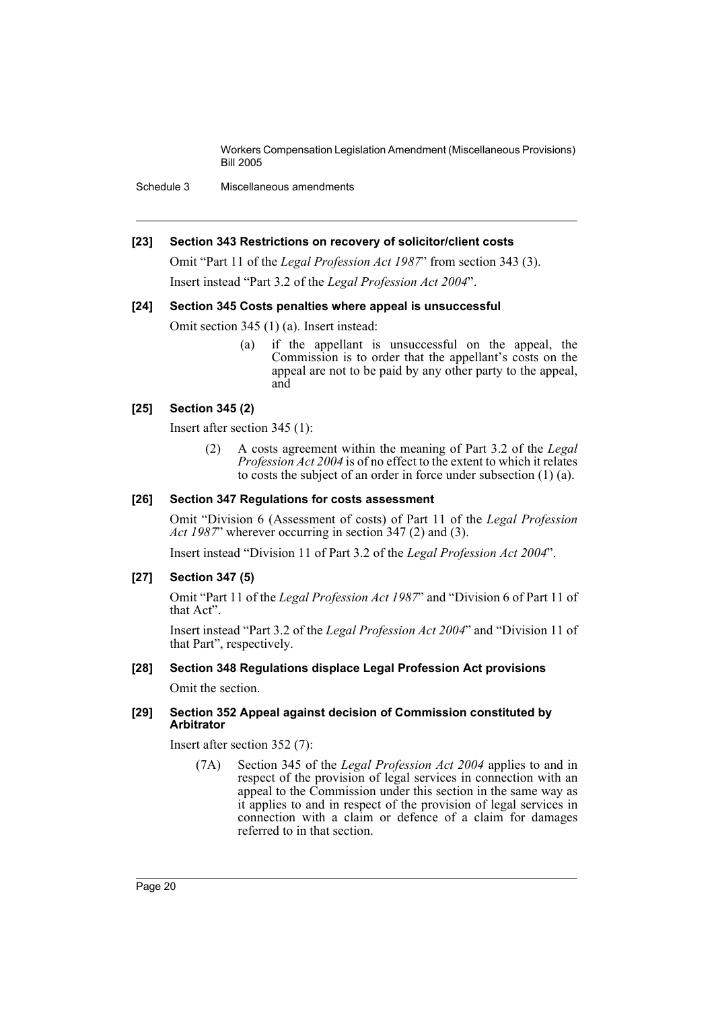Schedule 3 Miscellaneous amendments

#### **[23] Section 343 Restrictions on recovery of solicitor/client costs**

Omit "Part 11 of the *Legal Profession Act 1987*" from section 343 (3). Insert instead "Part 3.2 of the *Legal Profession Act 2004*".

## **[24] Section 345 Costs penalties where appeal is unsuccessful**

Omit section 345 (1) (a). Insert instead:

(a) if the appellant is unsuccessful on the appeal, the Commission is to order that the appellant's costs on the appeal are not to be paid by any other party to the appeal, and

## **[25] Section 345 (2)**

Insert after section 345 (1):

(2) A costs agreement within the meaning of Part 3.2 of the *Legal Profession Act 2004* is of no effect to the extent to which it relates to costs the subject of an order in force under subsection (1) (a).

## **[26] Section 347 Regulations for costs assessment**

Omit "Division 6 (Assessment of costs) of Part 11 of the *Legal Profession Act 1987*" wherever occurring in section 347 (2) and (3).

Insert instead "Division 11 of Part 3.2 of the *Legal Profession Act 2004*".

# **[27] Section 347 (5)**

Omit "Part 11 of the *Legal Profession Act 1987*" and "Division 6 of Part 11 of that Act".

Insert instead "Part 3.2 of the *Legal Profession Act 2004*" and "Division 11 of that Part", respectively.

# **[28] Section 348 Regulations displace Legal Profession Act provisions**

Omit the section.

#### **[29] Section 352 Appeal against decision of Commission constituted by Arbitrator**

Insert after section 352 (7):

(7A) Section 345 of the *Legal Profession Act 2004* applies to and in respect of the provision of legal services in connection with an appeal to the Commission under this section in the same way as it applies to and in respect of the provision of legal services in connection with a claim or defence of a claim for damages referred to in that section.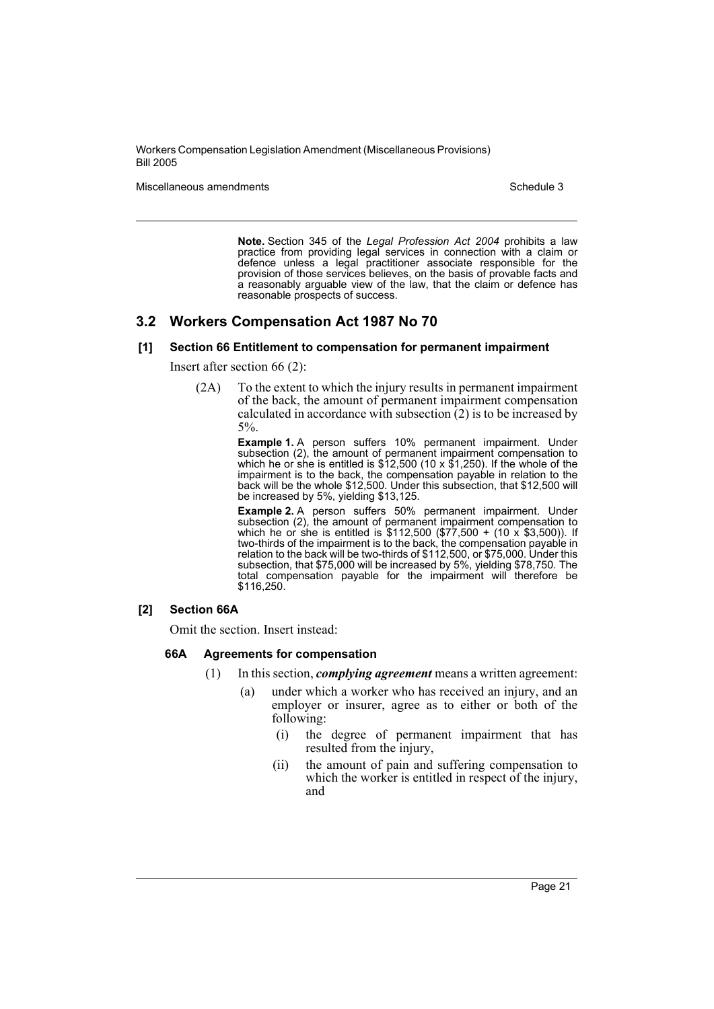Miscellaneous amendments **Schedule 3** and the schedule 3

**Note.** Section 345 of the *Legal Profession Act 2004* prohibits a law practice from providing legal services in connection with a claim or defence unless a legal practitioner associate responsible for the provision of those services believes, on the basis of provable facts and a reasonably arguable view of the law, that the claim or defence has reasonable prospects of success.

# **3.2 Workers Compensation Act 1987 No 70**

#### **[1] Section 66 Entitlement to compensation for permanent impairment**

Insert after section 66 (2):

(2A) To the extent to which the injury results in permanent impairment of the back, the amount of permanent impairment compensation calculated in accordance with subsection  $(2)$  is to be increased by 5%.

> **Example 1.** A person suffers 10% permanent impairment. Under subsection (2), the amount of permanent impairment compensation to which he or she is entitled is  $$12,500$  (10 x  $$1,250$ ). If the whole of the impairment is to the back, the compensation payable in relation to the back will be the whole \$12,500. Under this subsection, that \$12,500 will be increased by 5%, yielding \$13,125.

> **Example 2.** A person suffers 50% permanent impairment. Under subsection (2), the amount of permanent impairment compensation to which he or she is entitled is \$112,500 (\$77,500 + (10 x \$3,500)). If two-thirds of the impairment is to the back, the compensation payable in relation to the back will be two-thirds of \$112,500, or \$75,000. Under this subsection, that \$75,000 will be increased by 5%, yielding \$78,750. The total compensation payable for the impairment will therefore be \$116,250.

## **[2] Section 66A**

Omit the section. Insert instead:

#### **66A Agreements for compensation**

- (1) In this section, *complying agreement* means a written agreement:
	- (a) under which a worker who has received an injury, and an employer or insurer, agree as to either or both of the following:
		- (i) the degree of permanent impairment that has resulted from the injury,
		- (ii) the amount of pain and suffering compensation to which the worker is entitled in respect of the injury, and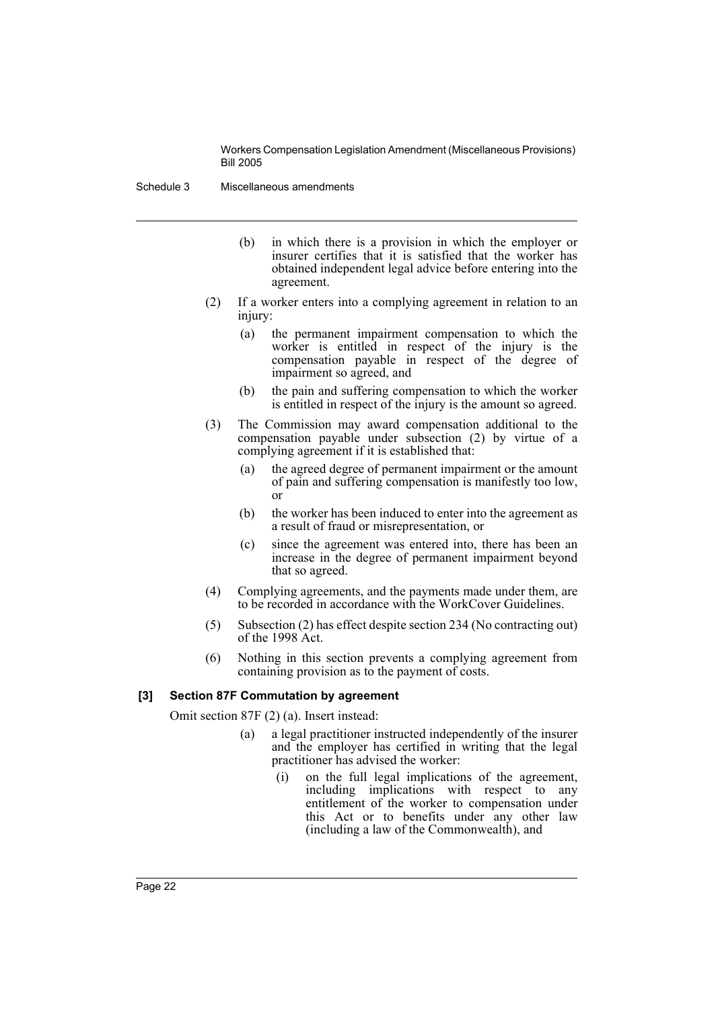Schedule 3 Miscellaneous amendments

- (b) in which there is a provision in which the employer or insurer certifies that it is satisfied that the worker has obtained independent legal advice before entering into the agreement.
- (2) If a worker enters into a complying agreement in relation to an injury:
	- (a) the permanent impairment compensation to which the worker is entitled in respect of the injury is the compensation payable in respect of the degree of impairment so agreed, and
	- (b) the pain and suffering compensation to which the worker is entitled in respect of the injury is the amount so agreed.
- (3) The Commission may award compensation additional to the compensation payable under subsection (2) by virtue of a complying agreement if it is established that:
	- (a) the agreed degree of permanent impairment or the amount of pain and suffering compensation is manifestly too low, or
	- (b) the worker has been induced to enter into the agreement as a result of fraud or misrepresentation, or
	- (c) since the agreement was entered into, there has been an increase in the degree of permanent impairment beyond that so agreed.
- (4) Complying agreements, and the payments made under them, are to be recorded in accordance with the WorkCover Guidelines.
- (5) Subsection (2) has effect despite section 234 (No contracting out) of the 1998 Act.
- (6) Nothing in this section prevents a complying agreement from containing provision as to the payment of costs.

#### **[3] Section 87F Commutation by agreement**

Omit section 87F (2) (a). Insert instead:

- (a) a legal practitioner instructed independently of the insurer and the employer has certified in writing that the legal practitioner has advised the worker:
	- (i) on the full legal implications of the agreement, including implications with respect to any entitlement of the worker to compensation under this Act or to benefits under any other law (including a law of the Commonwealth), and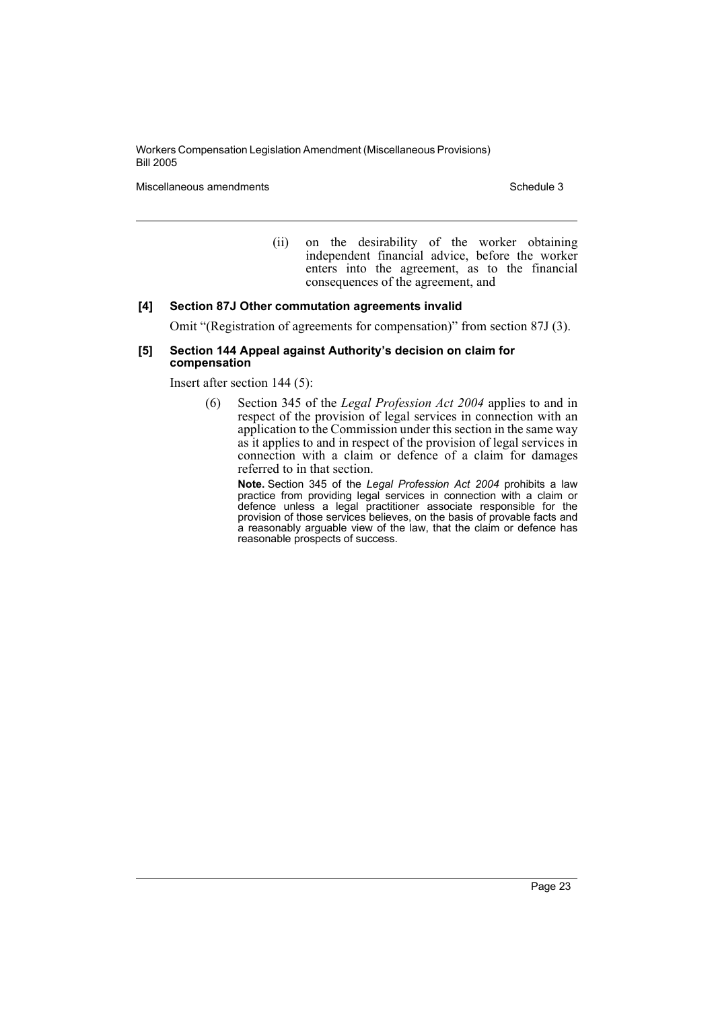Miscellaneous amendments **Schedule 3** and Schedule 3

(ii) on the desirability of the worker obtaining independent financial advice, before the worker enters into the agreement, as to the financial consequences of the agreement, and

#### **[4] Section 87J Other commutation agreements invalid**

Omit "(Registration of agreements for compensation)" from section 87J (3).

#### **[5] Section 144 Appeal against Authority's decision on claim for compensation**

Insert after section 144 (5):

(6) Section 345 of the *Legal Profession Act 2004* applies to and in respect of the provision of legal services in connection with an application to the Commission under this section in the same way as it applies to and in respect of the provision of legal services in connection with a claim or defence of a claim for damages referred to in that section.

**Note.** Section 345 of the *Legal Profession Act 2004* prohibits a law practice from providing legal services in connection with a claim or defence unless a legal practitioner associate responsible for the provision of those services believes, on the basis of provable facts and a reasonably arguable view of the law, that the claim or defence has reasonable prospects of success.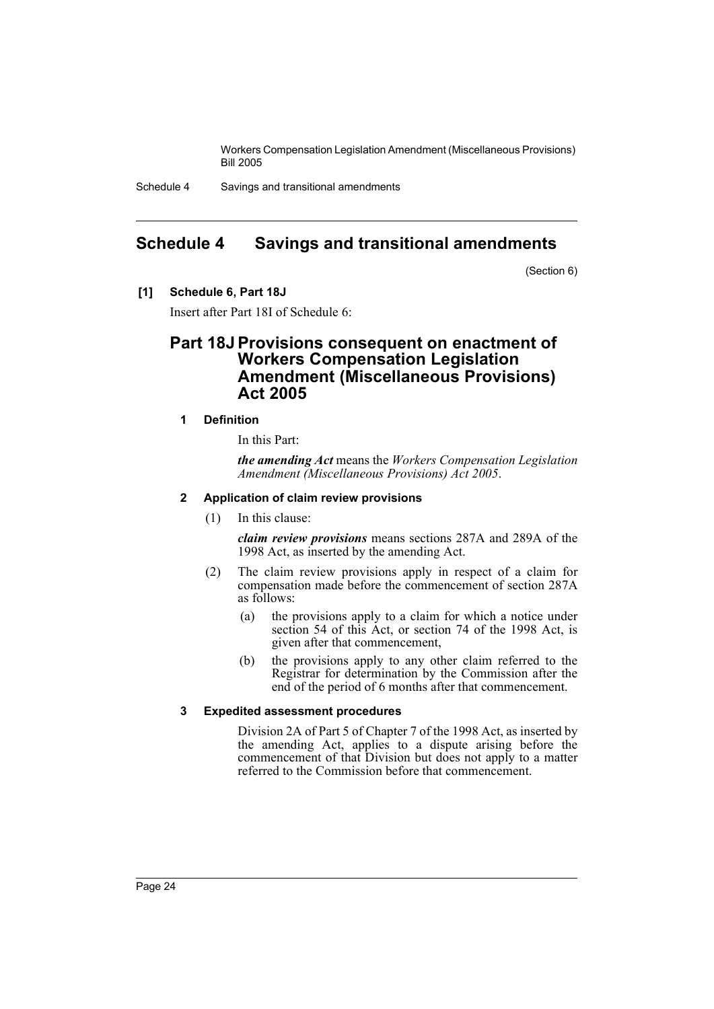Schedule 4 Savings and transitional amendments

# <span id="page-24-0"></span>**Schedule 4 Savings and transitional amendments**

(Section 6)

**[1] Schedule 6, Part 18J**

Insert after Part 18I of Schedule 6:

# **Part 18J Provisions consequent on enactment of Workers Compensation Legislation Amendment (Miscellaneous Provisions) Act 2005**

# **1 Definition**

In this Part:

*the amending Act* means the *Workers Compensation Legislation Amendment (Miscellaneous Provisions) Act 2005*.

# **2 Application of claim review provisions**

(1) In this clause:

*claim review provisions* means sections 287A and 289A of the 1998 Act, as inserted by the amending Act.

- (2) The claim review provisions apply in respect of a claim for compensation made before the commencement of section 287A as follows:
	- (a) the provisions apply to a claim for which a notice under section 54 of this Act, or section 74 of the 1998 Act, is given after that commencement,
	- (b) the provisions apply to any other claim referred to the Registrar for determination by the Commission after the end of the period of 6 months after that commencement.

#### **3 Expedited assessment procedures**

Division 2A of Part 5 of Chapter 7 of the 1998 Act, as inserted by the amending Act, applies to a dispute arising before the commencement of that Division but does not apply to a matter referred to the Commission before that commencement.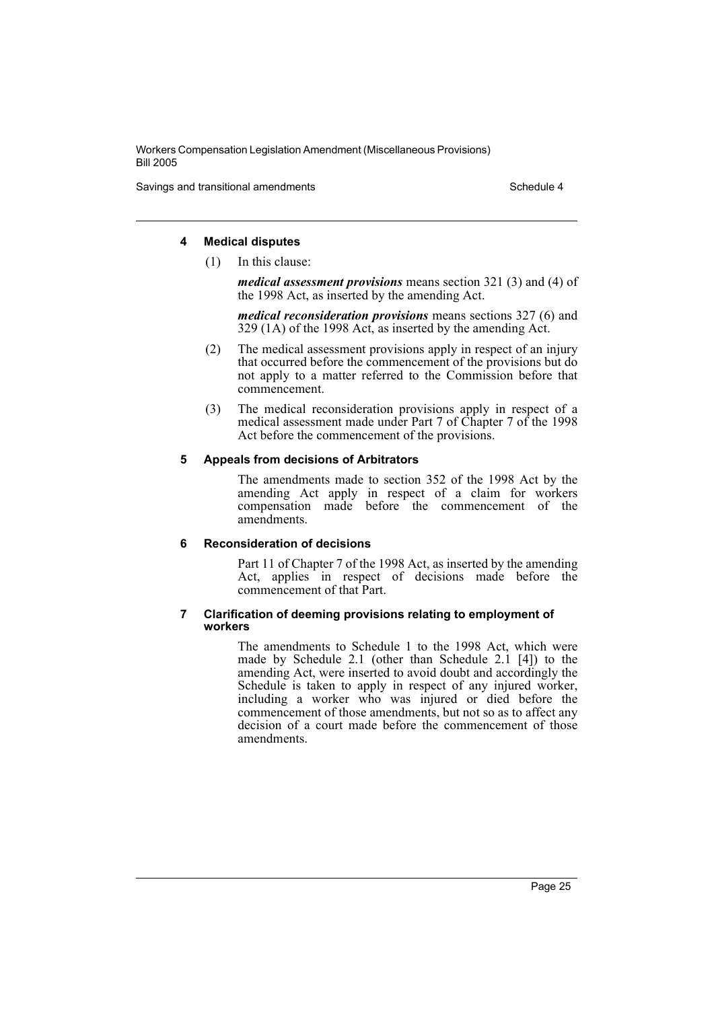Savings and transitional amendments Schedule 4 and transitional amendments Schedule 4

## **4 Medical disputes**

(1) In this clause:

*medical assessment provisions* means section 321 (3) and (4) of the 1998 Act, as inserted by the amending Act.

*medical reconsideration provisions* means sections 327 (6) and 329 (1A) of the 1998 Act, as inserted by the amending Act.

- (2) The medical assessment provisions apply in respect of an injury that occurred before the commencement of the provisions but do not apply to a matter referred to the Commission before that commencement.
- (3) The medical reconsideration provisions apply in respect of a medical assessment made under Part 7 of Chapter 7 of the 1998 Act before the commencement of the provisions.

# **5 Appeals from decisions of Arbitrators**

The amendments made to section 352 of the 1998 Act by the amending Act apply in respect of a claim for workers compensation made before the commencement of the amendments.

# **6 Reconsideration of decisions**

Part 11 of Chapter 7 of the 1998 Act, as inserted by the amending Act, applies in respect of decisions made before the commencement of that Part.

#### **7 Clarification of deeming provisions relating to employment of workers**

The amendments to Schedule 1 to the 1998 Act, which were made by Schedule 2.1 (other than Schedule 2.1 [4]) to the amending Act, were inserted to avoid doubt and accordingly the Schedule is taken to apply in respect of any injured worker, including a worker who was injured or died before the commencement of those amendments, but not so as to affect any decision of a court made before the commencement of those amendments.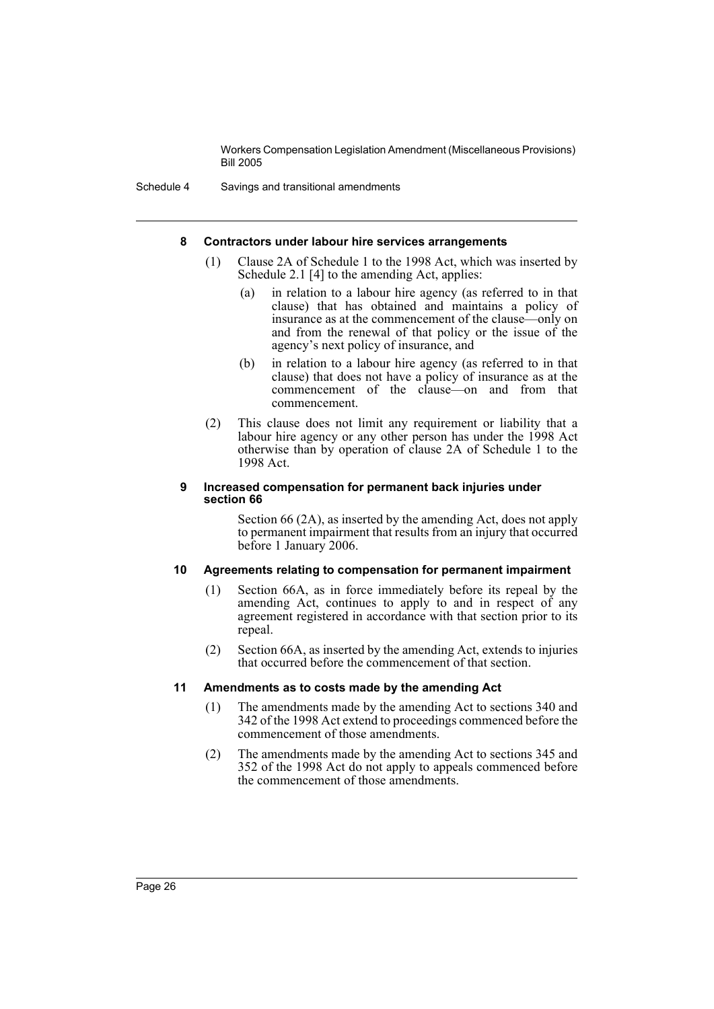Schedule 4 Savings and transitional amendments

#### **8 Contractors under labour hire services arrangements**

- (1) Clause 2A of Schedule 1 to the 1998 Act, which was inserted by Schedule 2.1 [4] to the amending Act, applies:
	- (a) in relation to a labour hire agency (as referred to in that clause) that has obtained and maintains a policy of insurance as at the commencement of the clause—only on and from the renewal of that policy or the issue of the agency's next policy of insurance, and
	- (b) in relation to a labour hire agency (as referred to in that clause) that does not have a policy of insurance as at the commencement of the clause—on and from that commencement.
- (2) This clause does not limit any requirement or liability that a labour hire agency or any other person has under the 1998 Act otherwise than by operation of clause 2A of Schedule 1 to the 1998 Act.

#### **9 Increased compensation for permanent back injuries under section 66**

Section 66 (2A), as inserted by the amending Act, does not apply to permanent impairment that results from an injury that occurred before 1 January 2006.

#### **10 Agreements relating to compensation for permanent impairment**

- (1) Section 66A, as in force immediately before its repeal by the amending Act, continues to apply to and in respect of any agreement registered in accordance with that section prior to its repeal.
- (2) Section 66A, as inserted by the amending Act, extends to injuries that occurred before the commencement of that section.

#### **11 Amendments as to costs made by the amending Act**

- (1) The amendments made by the amending Act to sections 340 and 342 of the 1998 Act extend to proceedings commenced before the commencement of those amendments.
- (2) The amendments made by the amending Act to sections 345 and 352 of the 1998 Act do not apply to appeals commenced before the commencement of those amendments.